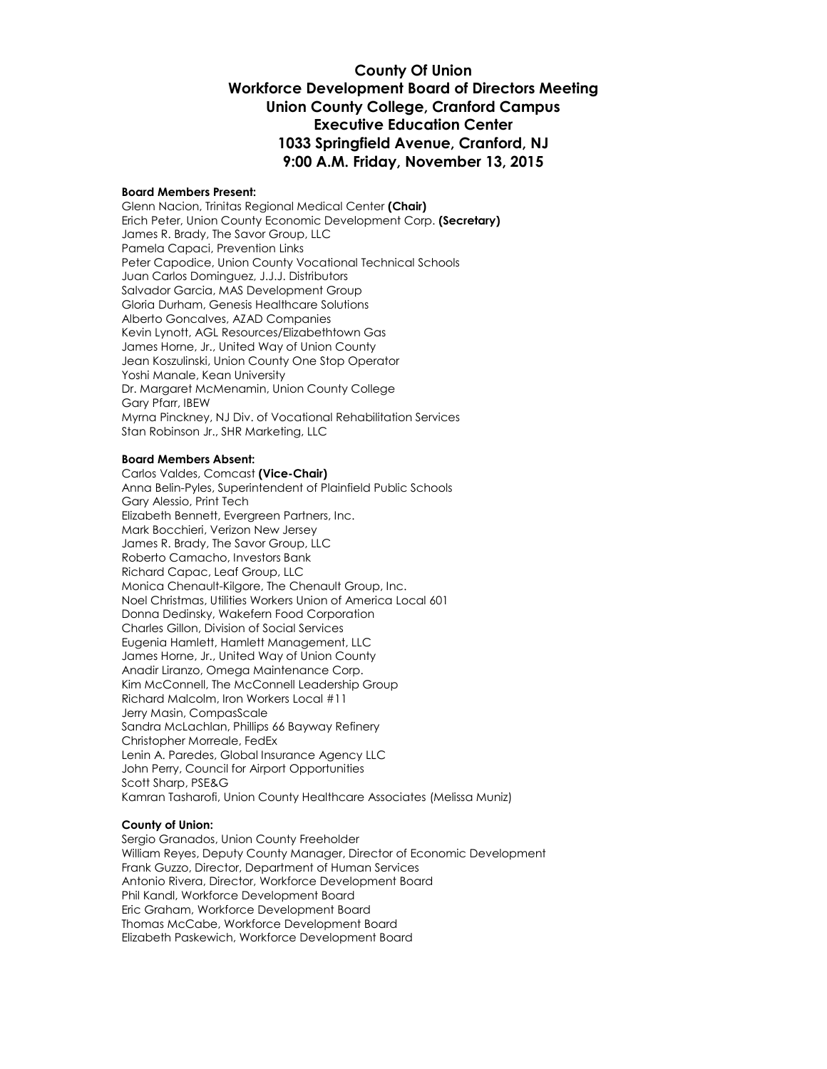#### **County Of Union Workforce Development Board of Directors Meeting Union County College, Cranford Campus Executive Education Center 1033 Springfield Avenue, Cranford, NJ 9:00 A.M. Friday, November 13, 2015**

#### **Board Members Present:**

Glenn Nacion, Trinitas Regional Medical Center **(Chair)** Erich Peter, Union County Economic Development Corp. **(Secretary)** James R. Brady, The Savor Group, LLC Pamela Capaci, Prevention Links Peter Capodice, Union County Vocational Technical Schools Juan Carlos Dominguez, J.J.J. Distributors Salvador Garcia, MAS Development Group Gloria Durham, Genesis Healthcare Solutions Alberto Goncalves, AZAD Companies Kevin Lynott, AGL Resources/Elizabethtown Gas James Horne, Jr., United Way of Union County Jean Koszulinski, Union County One Stop Operator Yoshi Manale, Kean University Dr. Margaret McMenamin, Union County College Gary Pfarr, IBEW Myrna Pinckney, NJ Div. of Vocational Rehabilitation Services Stan Robinson Jr., SHR Marketing, LLC

#### **Board Members Absent:**

Carlos Valdes, Comcast **(Vice-Chair)** Anna Belin-Pyles, Superintendent of Plainfield Public Schools Gary Alessio, Print Tech Elizabeth Bennett, Evergreen Partners, Inc. Mark Bocchieri, Verizon New Jersey James R. Brady, The Savor Group, LLC Roberto Camacho, Investors Bank Richard Capac, Leaf Group, LLC Monica Chenault-Kilgore, The Chenault Group, Inc. Noel Christmas, Utilities Workers Union of America Local 601 Donna Dedinsky, Wakefern Food Corporation Charles Gillon, Division of Social Services Eugenia Hamlett, Hamlett Management, LLC James Horne, Jr., United Way of Union County Anadir Liranzo, Omega Maintenance Corp. Kim McConnell, The McConnell Leadership Group Richard Malcolm, Iron Workers Local #11 Jerry Masin, CompasScale Sandra McLachlan, Phillips 66 Bayway Refinery Christopher Morreale, FedEx Lenin A. Paredes, Global Insurance Agency LLC John Perry, Council for Airport Opportunities Scott Sharp, PSE&G Kamran Tasharofi, Union County Healthcare Associates (Melissa Muniz)

#### **County of Union:**

Sergio Granados, Union County Freeholder William Reyes, Deputy County Manager, Director of Economic Development Frank Guzzo, Director, Department of Human Services Antonio Rivera, Director, Workforce Development Board Phil Kandl, Workforce Development Board Eric Graham, Workforce Development Board Thomas McCabe, Workforce Development Board Elizabeth Paskewich, Workforce Development Board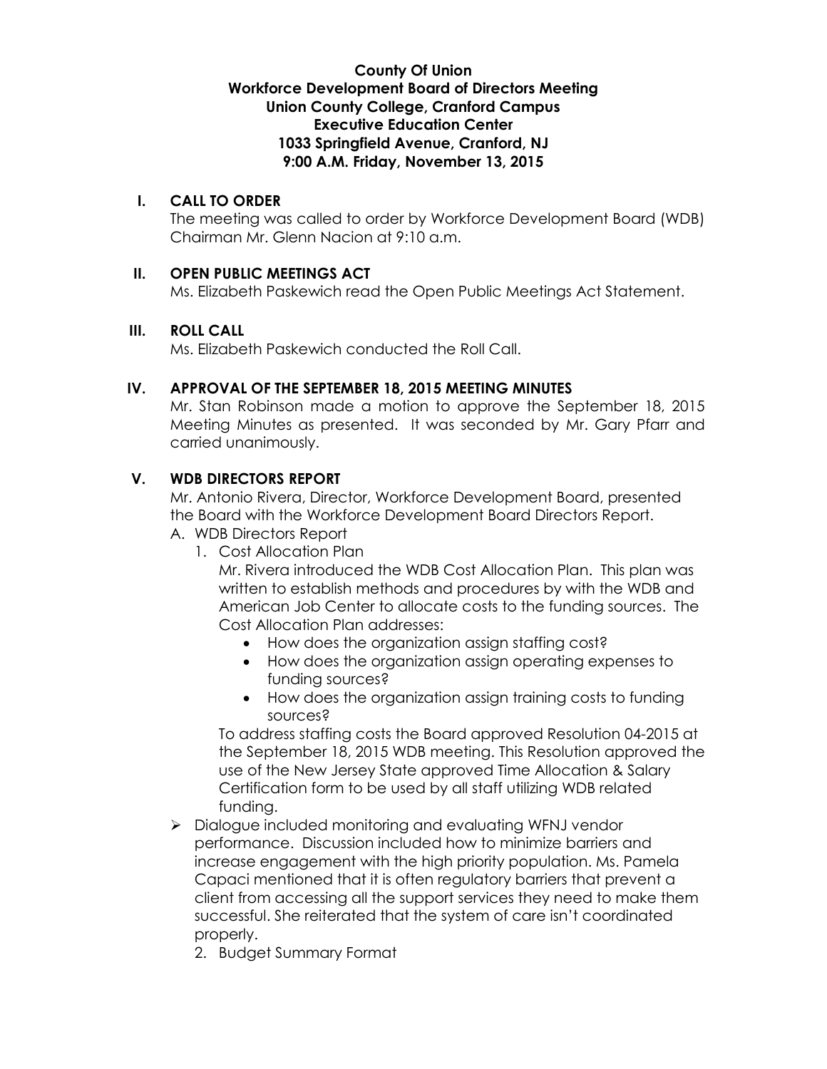#### **County Of Union Workforce Development Board of Directors Meeting Union County College, Cranford Campus Executive Education Center 1033 Springfield Avenue, Cranford, NJ 9:00 A.M. Friday, November 13, 2015**

#### **I. CALL TO ORDER**

The meeting was called to order by Workforce Development Board (WDB) Chairman Mr. Glenn Nacion at 9:10 a.m.

#### **II. OPEN PUBLIC MEETINGS ACT**

Ms. Elizabeth Paskewich read the Open Public Meetings Act Statement.

#### **III. ROLL CALL**

Ms. Elizabeth Paskewich conducted the Roll Call.

#### **IV. APPROVAL OF THE SEPTEMBER 18, 2015 MEETING MINUTES**

Mr. Stan Robinson made a motion to approve the September 18, 2015 Meeting Minutes as presented. It was seconded by Mr. Gary Pfarr and carried unanimously.

## **V. WDB DIRECTORS REPORT**

Mr. Antonio Rivera, Director, Workforce Development Board, presented the Board with the Workforce Development Board Directors Report.

- A. WDB Directors Report
	- 1. Cost Allocation Plan

Mr. Rivera introduced the WDB Cost Allocation Plan. This plan was written to establish methods and procedures by with the WDB and American Job Center to allocate costs to the funding sources. The Cost Allocation Plan addresses:

- How does the organization assign staffing cost?
- How does the organization assign operating expenses to funding sources?
- How does the organization assign training costs to funding sources?

To address staffing costs the Board approved Resolution 04-2015 at the September 18, 2015 WDB meeting. This Resolution approved the use of the New Jersey State approved Time Allocation & Salary Certification form to be used by all staff utilizing WDB related funding.

> Dialogue included monitoring and evaluating WFNJ vendor performance. Discussion included how to minimize barriers and increase engagement with the high priority population. Ms. Pamela Capaci mentioned that it is often regulatory barriers that prevent a client from accessing all the support services they need to make them successful. She reiterated that the system of care isn't coordinated properly.

2. Budget Summary Format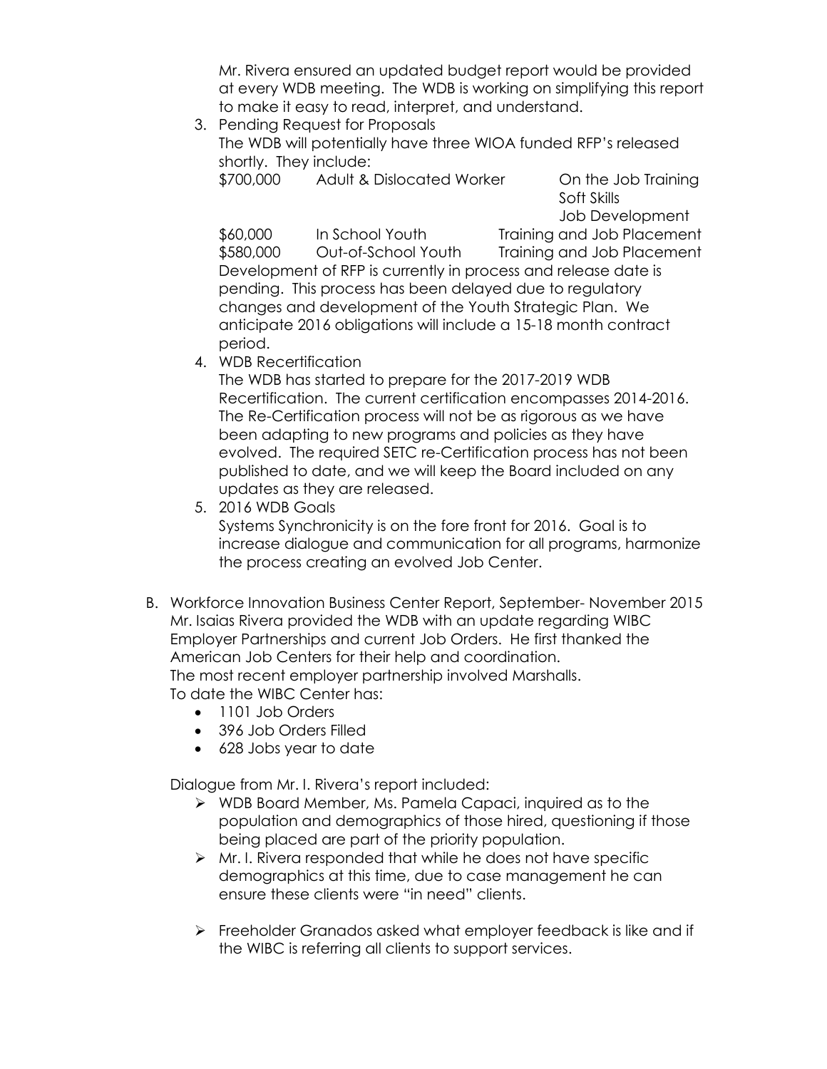Mr. Rivera ensured an updated budget report would be provided at every WDB meeting. The WDB is working on simplifying this report to make it easy to read, interpret, and understand.

3. Pending Request for Proposals The WDB will potentially have three WIOA funded RFP's released shortly. They include: \$700,000 Adult & Dislocated Worker On the Job Training

Soft Skills Job Development

\$60,000 In School Youth Training and Job Placement \$580,000 Out-of-School Youth Training and Job Placement Development of RFP is currently in process and release date is pending. This process has been delayed due to regulatory changes and development of the Youth Strategic Plan. We anticipate 2016 obligations will include a 15-18 month contract period.

4. WDB Recertification

The WDB has started to prepare for the 2017-2019 WDB Recertification. The current certification encompasses 2014-2016. The Re-Certification process will not be as rigorous as we have been adapting to new programs and policies as they have evolved. The required SETC re-Certification process has not been published to date, and we will keep the Board included on any updates as they are released.

5. 2016 WDB Goals

Systems Synchronicity is on the fore front for 2016. Goal is to increase dialogue and communication for all programs, harmonize the process creating an evolved Job Center.

- B. Workforce Innovation Business Center Report, September- November 2015 Mr. Isaias Rivera provided the WDB with an update regarding WIBC Employer Partnerships and current Job Orders. He first thanked the American Job Centers for their help and coordination. The most recent employer partnership involved Marshalls. To date the WIBC Center has:
	- 1101 Job Orders
	- 396 Job Orders Filled
	- 628 Jobs year to date

Dialogue from Mr. I. Rivera's report included:

- WDB Board Member, Ms. Pamela Capaci, inquired as to the population and demographics of those hired, questioning if those being placed are part of the priority population.
- $\triangleright$  Mr. I. Rivera responded that while he does not have specific demographics at this time, due to case management he can ensure these clients were "in need" clients.
- Freeholder Granados asked what employer feedback is like and if the WIBC is referring all clients to support services.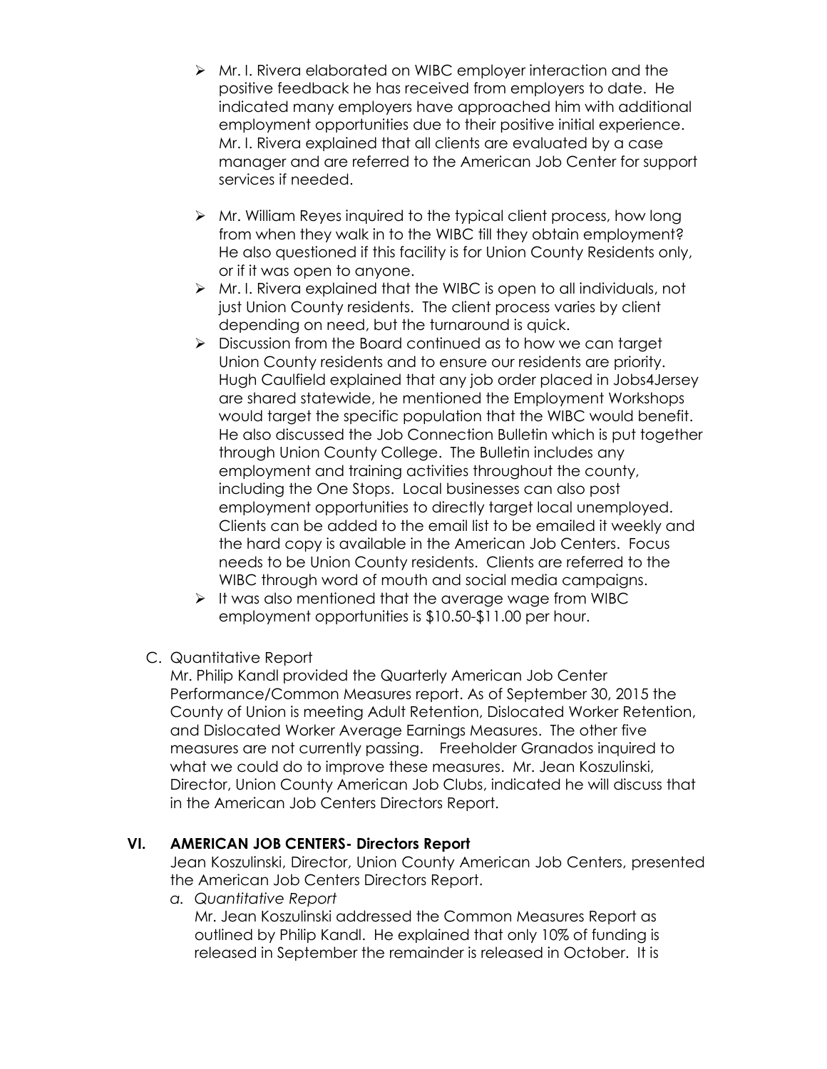- Mr. I. Rivera elaborated on WIBC employer interaction and the positive feedback he has received from employers to date. He indicated many employers have approached him with additional employment opportunities due to their positive initial experience. Mr. I. Rivera explained that all clients are evaluated by a case manager and are referred to the American Job Center for support services if needed.
- $\triangleright$  Mr. William Reyes inquired to the typical client process, how long from when they walk in to the WIBC till they obtain employment? He also questioned if this facility is for Union County Residents only, or if it was open to anyone.
- Mr. I. Rivera explained that the WIBC is open to all individuals, not just Union County residents. The client process varies by client depending on need, but the turnaround is quick.
- $\triangleright$  Discussion from the Board continued as to how we can target Union County residents and to ensure our residents are priority. Hugh Caulfield explained that any job order placed in Jobs4Jersey are shared statewide, he mentioned the Employment Workshops would target the specific population that the WIBC would benefit. He also discussed the Job Connection Bulletin which is put together through Union County College. The Bulletin includes any employment and training activities throughout the county, including the One Stops. Local businesses can also post employment opportunities to directly target local unemployed. Clients can be added to the email list to be emailed it weekly and the hard copy is available in the American Job Centers. Focus needs to be Union County residents. Clients are referred to the WIBC through word of mouth and social media campaigns.
- $\triangleright$  It was also mentioned that the average wage from WIBC employment opportunities is \$10.50-\$11.00 per hour.
- C. Quantitative Report

Mr. Philip Kandl provided the Quarterly American Job Center Performance/Common Measures report. As of September 30, 2015 the County of Union is meeting Adult Retention, Dislocated Worker Retention, and Dislocated Worker Average Earnings Measures. The other five measures are not currently passing. Freeholder Granados inquired to what we could do to improve these measures. Mr. Jean Koszulinski, Director, Union County American Job Clubs, indicated he will discuss that in the American Job Centers Directors Report.

## **VI. AMERICAN JOB CENTERS- Directors Report**

Jean Koszulinski, Director, Union County American Job Centers, presented the American Job Centers Directors Report.

*a. Quantitative Report*

Mr. Jean Koszulinski addressed the Common Measures Report as outlined by Philip Kandl. He explained that only 10% of funding is released in September the remainder is released in October. It is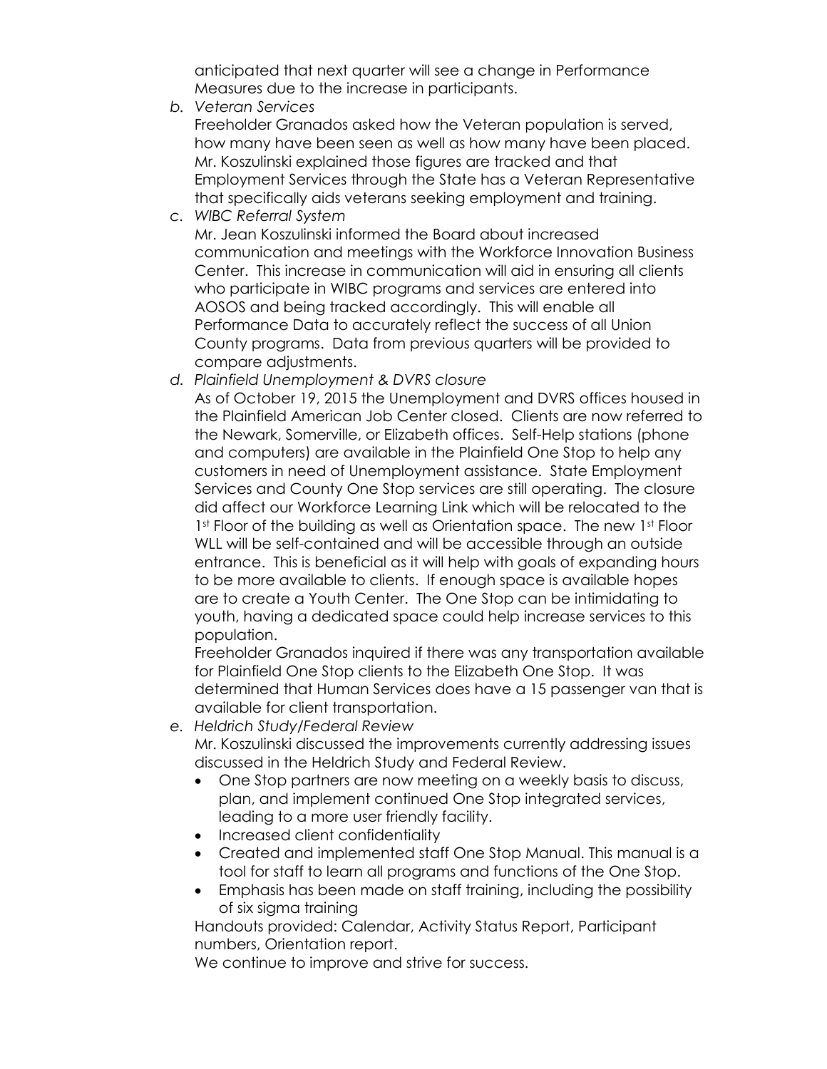anticipated that next quarter will see a change in Performance Measures due to the increase in participants.

*b. Veteran Services*

Freeholder Granados asked how the Veteran population is served, how many have been seen as well as how many have been placed. Mr. Koszulinski explained those figures are tracked and that Employment Services through the State has a Veteran Representative that specifically aids veterans seeking employment and training.

*c. WIBC Referral System*

Mr. Jean Koszulinski informed the Board about increased communication and meetings with the Workforce Innovation Business Center. This increase in communication will aid in ensuring all clients who participate in WIBC programs and services are entered into AOSOS and being tracked accordingly. This will enable all Performance Data to accurately reflect the success of all Union County programs. Data from previous quarters will be provided to compare adjustments.

*d. Plainfield Unemployment & DVRS closure*

As of October 19, 2015 the Unemployment and DVRS offices housed in the Plainfield American Job Center closed. Clients are now referred to the Newark, Somerville, or Elizabeth offices. Self-Help stations (phone and computers) are available in the Plainfield One Stop to help any customers in need of Unemployment assistance. State Employment Services and County One Stop services are still operating. The closure did affect our Workforce Learning Link which will be relocated to the 1st Floor of the building as well as Orientation space. The new 1st Floor WLL will be self-contained and will be accessible through an outside entrance. This is beneficial as it will help with goals of expanding hours to be more available to clients. If enough space is available hopes are to create a Youth Center. The One Stop can be intimidating to youth, having a dedicated space could help increase services to this population.

Freeholder Granados inquired if there was any transportation available for Plainfield One Stop clients to the Elizabeth One Stop. It was determined that Human Services does have a 15 passenger van that is available for client transportation.

- *e. Heldrich Study/Federal Review*  Mr. Koszulinski discussed the improvements currently addressing issues discussed in the Heldrich Study and Federal Review.
	- One Stop partners are now meeting on a weekly basis to discuss, plan, and implement continued One Stop integrated services, leading to a more user friendly facility.
	- Increased client confidentiality
	- Created and implemented staff One Stop Manual. This manual is a tool for staff to learn all programs and functions of the One Stop.
	- Emphasis has been made on staff training, including the possibility of six sigma training

Handouts provided: Calendar, Activity Status Report, Participant numbers, Orientation report.

We continue to improve and strive for success.